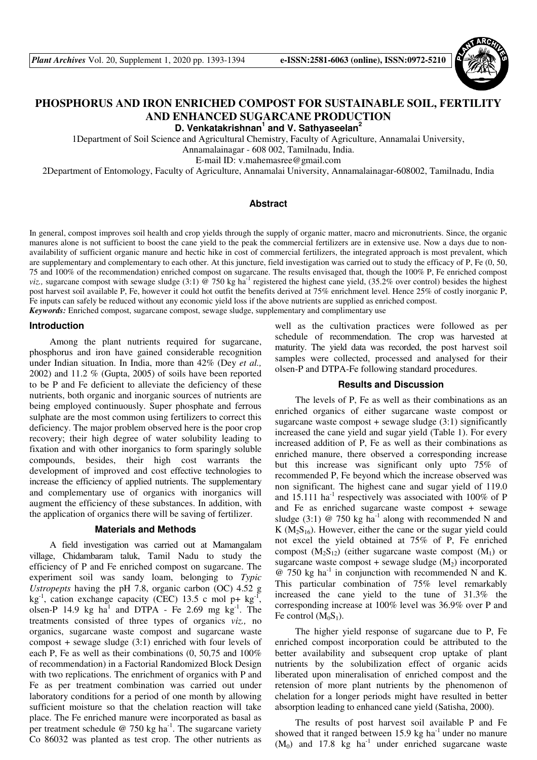

# **PHOSPHORUS AND IRON ENRICHED COMPOST FOR SUSTAINABLE SOIL, FERTILITY AND ENHANCED SUGARCANE PRODUCTION**

**D. Venkatakrishnan<sup>1</sup> and V. Sathyaseelan<sup>2</sup>**

1Department of Soil Science and Agricultural Chemistry, Faculty of Agriculture, Annamalai University,

Annamalainagar - 608 002, Tamilnadu, India.

E-mail ID: v.mahemasree@gmail.com

2Department of Entomology, Faculty of Agriculture, Annamalai University, Annamalainagar-608002, Tamilnadu, India

## **Abstract**

In general, compost improves soil health and crop yields through the supply of organic matter, macro and micronutrients. Since, the organic manures alone is not sufficient to boost the cane yield to the peak the commercial fertilizers are in extensive use. Now a days due to nonavailability of sufficient organic manure and hectic hike in cost of commercial fertilizers, the integrated approach is most prevalent, which are supplementary and complementary to each other. At this juncture, field investigation was carried out to study the efficacy of P, Fe (0, 50, 75 and 100% of the recommendation) enriched compost on sugarcane. The results envisaged that, though the 100% P, Fe enriched compost *viz.*, sugarcane compost with sewage sludge (3:1) @ 750 kg ha<sup>-1</sup> registered the highest cane yield, (35.2% over control) besides the highest post harvest soil available P, Fe, however it could hot outfit the benefits derived at 75% enrichment level. Hence 25% of costly inorganic P, Fe inputs can safely be reduced without any economic yield loss if the above nutrients are supplied as enriched compost. *Keywords:* Enriched compost, sugarcane compost, sewage sludge, supplementary and complimentary use

#### **Introduction**

Among the plant nutrients required for sugarcane, phosphorus and iron have gained considerable recognition under Indian situation. In India, more than 42% (Dey *et al.,* 2002) and 11.2 % (Gupta, 2005) of soils have been reported to be P and Fe deficient to alleviate the deficiency of these nutrients, both organic and inorganic sources of nutrients are being employed continuously. Super phosphate and ferrous sulphate are the most common using fertilizers to correct this deficiency. The major problem observed here is the poor crop recovery; their high degree of water solubility leading to fixation and with other inorganics to form sparingly soluble compounds, besides, their high cost warrants the development of improved and cost effective technologies to increase the efficiency of applied nutrients. The supplementary and complementary use of organics with inorganics will augment the efficiency of these substances. In addition, with the application of organics there will be saving of fertilizer.

#### **Materials and Methods**

A field investigation was carried out at Mamangalam village, Chidambaram taluk, Tamil Nadu to study the efficiency of P and Fe enriched compost on sugarcane. The experiment soil was sandy loam, belonging to *Typic Ustropepts* having the pH 7.8, organic carbon (OC) 4.52 g kg<sup>-1</sup>, cation exchange capacity (CEC) 13.5 c mol p+ kg<sup>-1</sup>, olsen-P 14.9 kg ha<sup>1</sup> and DTPA - Fe 2.69 mg  $kg^{-1}$ . The treatments consisted of three types of organics *viz.,* no organics, sugarcane waste compost and sugarcane waste compost + sewage sludge (3:1) enriched with four levels of each P, Fe as well as their combinations (0, 50,75 and 100% of recommendation) in a Factorial Randomized Block Design with two replications. The enrichment of organics with P and Fe as per treatment combination was carried out under laboratory conditions for a period of one month by allowing sufficient moisture so that the chelation reaction will take place. The Fe enriched manure were incorporated as basal as per treatment schedule  $@ 750$  kg ha<sup>-1</sup>. The sugarcane variety Co 86032 was planted as test crop. The other nutrients as

well as the cultivation practices were followed as per schedule of recommendation. The crop was harvested at maturity. The yield data was recorded, the post harvest soil samples were collected, processed and analysed for their olsen-P and DTPA-Fe following standard procedures.

## **Results and Discussion**

The levels of P, Fe as well as their combinations as an enriched organics of either sugarcane waste compost or sugarcane waste compost  $+$  sewage sludge (3:1) significantly increased the cane yield and sugar yield (Table 1). For every increased addition of P, Fe as well as their combinations as enriched manure, there observed a corresponding increase but this increase was significant only upto 75% of recommended P, Fe beyond which the increase observed was non significant. The highest cane and sugar yield of 119.0 and  $15.111$  ha<sup>-1</sup> respectively was associated with  $100\%$  of P and Fe as enriched sugarcane waste compost + sewage sludge (3:1)  $\omega$  750 kg ha<sup>-1</sup> along with recommended N and K  $(M_2S_{16})$ . However, either the cane or the sugar yield could not excel the yield obtained at 75% of P, Fe enriched compost  $(M_2S_{12})$  (either sugarcane waste compost  $(M_1)$  or sugarcane waste compost + sewage sludge  $(M<sub>2</sub>)$  incorporated  $\omega$  750 kg ha<sup>-1</sup> in conjunction with recommended N and K. This particular combination of 75% level remarkably increased the cane yield to the tune of 31.3% the corresponding increase at 100% level was 36.9% over P and Fe control  $(M_0S_1)$ .

The higher yield response of sugarcane due to P, Fe enriched compost incorporation could be attributed to the better availability and subsequent crop uptake of plant nutrients by the solubilization effect of organic acids liberated upon mineralisation of enriched compost and the retension of more plant nutrients by the phenomenon of chelation for a longer periods might have resulted in better absorption leading to enhanced cane yield (Satisha, 2000).

The results of post harvest soil available P and Fe showed that it ranged between  $15.9 \text{ kg}$  ha<sup>-1</sup> under no manure  $(M_0)$  and 17.8 kg ha<sup>-1</sup> under enriched sugarcane waste